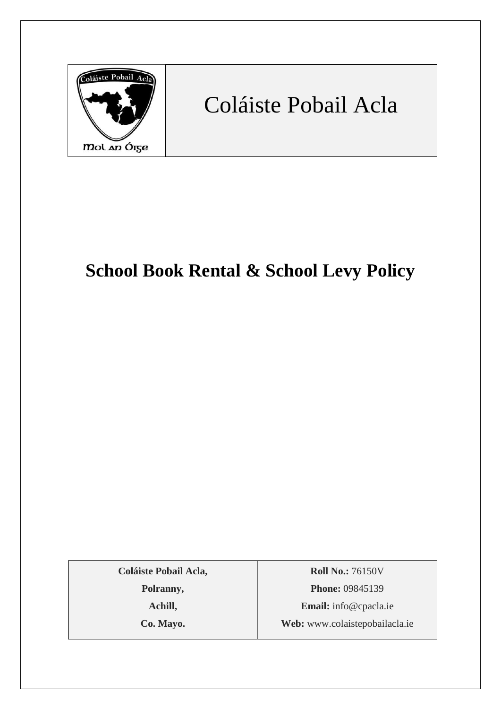

# Coláiste Pobail Acla

# **School Book Rental & School Levy Policy**

**Coláiste Pobail Acla,**

**Polranny,**

**Achill,**

**Co. Mayo.**

**Roll No.:** 76150V **Phone:** 09845139 **Email:** [info@cpacla.ie](mailto:info@cpacla.ie) **Web:** www.colaistepobailacla.ie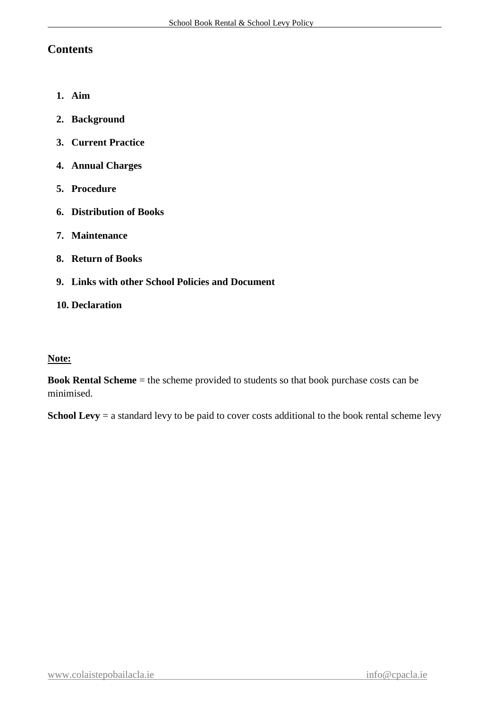#### **Contents**

- **1. Aim**
- **2. Background**
- **3. Current Practice**
- **4. Annual Charges**
- **5. Procedure**
- **6. Distribution of Books**
- **7. Maintenance**
- **8. Return of Books**
- **9. Links with other School Policies and Document**
- **10. Declaration**

#### **Note:**

**Book Rental Scheme** = the scheme provided to students so that book purchase costs can be minimised.

**School Levy** = a standard levy to be paid to cover costs additional to the book rental scheme levy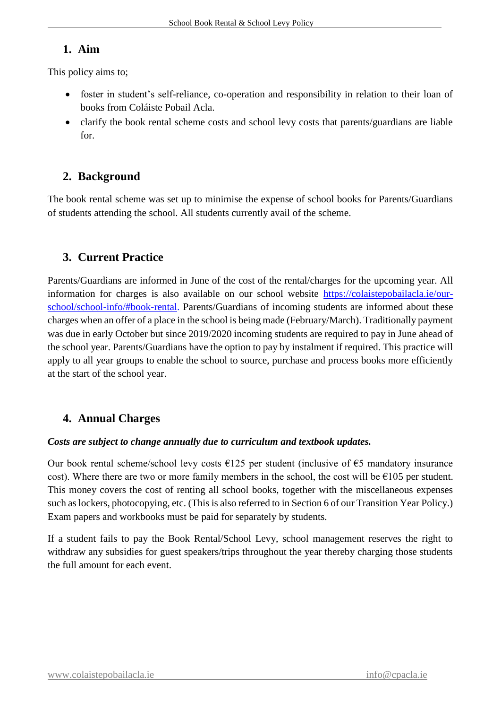#### **1. Aim**

This policy aims to;

- foster in student's self-reliance, co-operation and responsibility in relation to their loan of books from Coláiste Pobail Acla.
- clarify the book rental scheme costs and school levy costs that parents/guardians are liable for.

# **2. Background**

The book rental scheme was set up to minimise the expense of school books for Parents/Guardians of students attending the school. All students currently avail of the scheme.

# **3. Current Practice**

Parents/Guardians are informed in June of the cost of the rental/charges for the upcoming year. All information for charges is also available on our school website [https://colaistepobailacla.ie/our](https://colaistepobailacla.ie/our-school/school-info/#book-rental)[school/school-info/#book-rental.](https://colaistepobailacla.ie/our-school/school-info/#book-rental) Parents/Guardians of incoming students are informed about these charges when an offer of a place in the school is being made (February/March). Traditionally payment was due in early October but since 2019/2020 incoming students are required to pay in June ahead of the school year. Parents/Guardians have the option to pay by instalment if required. This practice will apply to all year groups to enable the school to source, purchase and process books more efficiently at the start of the school year.

# **4. Annual Charges**

#### *Costs are subject to change annually due to curriculum and textbook updates.*

Our book rental scheme/school levy costs  $\epsilon$ 125 per student (inclusive of  $\epsilon$ 5 mandatory insurance cost). Where there are two or more family members in the school, the cost will be  $\epsilon$ 105 per student. This money covers the cost of renting all school books, together with the miscellaneous expenses such as lockers, photocopying, etc. (This is also referred to in Section 6 of our Transition Year Policy.) Exam papers and workbooks must be paid for separately by students.

If a student fails to pay the Book Rental/School Levy, school management reserves the right to withdraw any subsidies for guest speakers/trips throughout the year thereby charging those students the full amount for each event.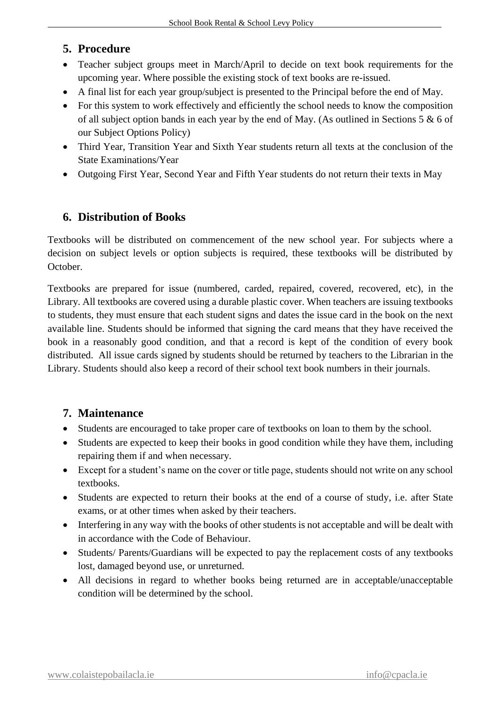#### **5. Procedure**

- Teacher subject groups meet in March/April to decide on text book requirements for the upcoming year. Where possible the existing stock of text books are re-issued.
- A final list for each year group/subject is presented to the Principal before the end of May.
- For this system to work effectively and efficiently the school needs to know the composition of all subject option bands in each year by the end of May. (As outlined in Sections 5 & 6 of our Subject Options Policy)
- Third Year, Transition Year and Sixth Year students return all texts at the conclusion of the State Examinations/Year
- Outgoing First Year, Second Year and Fifth Year students do not return their texts in May

# **6. Distribution of Books**

Textbooks will be distributed on commencement of the new school year. For subjects where a decision on subject levels or option subjects is required, these textbooks will be distributed by October.

Textbooks are prepared for issue (numbered, carded, repaired, covered, recovered, etc), in the Library. All textbooks are covered using a durable plastic cover. When teachers are issuing textbooks to students, they must ensure that each student signs and dates the issue card in the book on the next available line. Students should be informed that signing the card means that they have received the book in a reasonably good condition, and that a record is kept of the condition of every book distributed. All issue cards signed by students should be returned by teachers to the Librarian in the Library. Students should also keep a record of their school text book numbers in their journals.

### **7. Maintenance**

- Students are encouraged to take proper care of textbooks on loan to them by the school.
- Students are expected to keep their books in good condition while they have them, including repairing them if and when necessary.
- Except for a student's name on the cover or title page, students should not write on any school textbooks.
- Students are expected to return their books at the end of a course of study, i.e. after State exams, or at other times when asked by their teachers.
- Interfering in any way with the books of other students is not acceptable and will be dealt with in accordance with the Code of Behaviour.
- Students/ Parents/Guardians will be expected to pay the replacement costs of any textbooks lost, damaged beyond use, or unreturned.
- All decisions in regard to whether books being returned are in acceptable/unacceptable condition will be determined by the school.